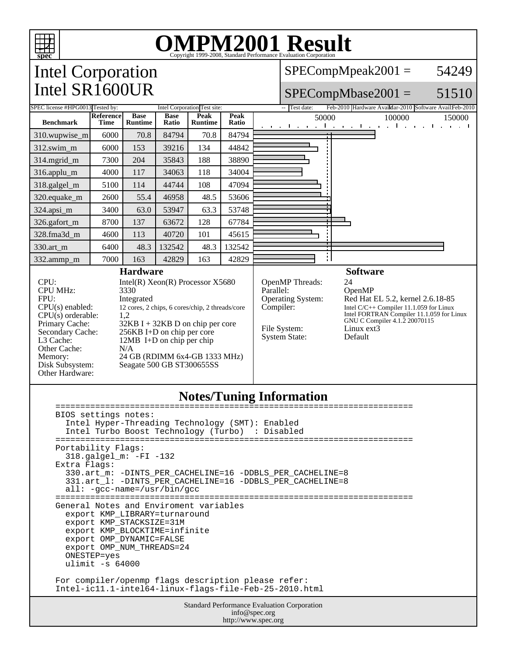

## OMPM2001 Result ISP9-2008, Standard Performance Evaluation Corporation

Intel Corporation Intel SR1600UR

SPECompMpeak2001 = 54249

#### SPECompMbase2001 = 51510

| SPEC license #HPG0013 Tested by:                                                                                                                                                                                                                                                                                                                                                                                                                                                                                                                                                                                                                                                   |                                                                                                               |                               |                      | Intel Corporation Test site: |                                                                                                        | -- Test date:                                            |                                                                                                                                                             | Feb-2010 Hardware AvaiMar-2010 Software AvailFeb-2010        |  |  |
|------------------------------------------------------------------------------------------------------------------------------------------------------------------------------------------------------------------------------------------------------------------------------------------------------------------------------------------------------------------------------------------------------------------------------------------------------------------------------------------------------------------------------------------------------------------------------------------------------------------------------------------------------------------------------------|---------------------------------------------------------------------------------------------------------------|-------------------------------|----------------------|------------------------------|--------------------------------------------------------------------------------------------------------|----------------------------------------------------------|-------------------------------------------------------------------------------------------------------------------------------------------------------------|--------------------------------------------------------------|--|--|
| <b>Benchmark</b>                                                                                                                                                                                                                                                                                                                                                                                                                                                                                                                                                                                                                                                                   | <b>Reference</b><br><b>Time</b>                                                                               | <b>Base</b><br><b>Runtime</b> | <b>Base</b><br>Ratio | Peak<br>Runtime              | Peak<br>Ratio                                                                                          | 50000                                                    |                                                                                                                                                             | 100000<br>150000<br>التعبيبا وببارة والمتعب التعبير التعبيات |  |  |
| 310.wupwise_m                                                                                                                                                                                                                                                                                                                                                                                                                                                                                                                                                                                                                                                                      | 6000                                                                                                          | 70.8                          | 84794                | 70.8                         | 84794                                                                                                  |                                                          |                                                                                                                                                             |                                                              |  |  |
| 312.swim_m                                                                                                                                                                                                                                                                                                                                                                                                                                                                                                                                                                                                                                                                         | 6000                                                                                                          | 153                           | 39216                | 134                          | 44842                                                                                                  |                                                          |                                                                                                                                                             |                                                              |  |  |
| 314.mgrid_m                                                                                                                                                                                                                                                                                                                                                                                                                                                                                                                                                                                                                                                                        | 7300                                                                                                          | 204                           | 35843                | 188                          | 38890                                                                                                  |                                                          |                                                                                                                                                             |                                                              |  |  |
| 316.applu_m                                                                                                                                                                                                                                                                                                                                                                                                                                                                                                                                                                                                                                                                        | 4000                                                                                                          | 117                           | 34063                | 118                          | 34004                                                                                                  |                                                          |                                                                                                                                                             |                                                              |  |  |
| 318.galgel_m                                                                                                                                                                                                                                                                                                                                                                                                                                                                                                                                                                                                                                                                       | 5100                                                                                                          | 114                           | 44744                | 108                          | 47094                                                                                                  |                                                          |                                                                                                                                                             |                                                              |  |  |
| 320.equake_m                                                                                                                                                                                                                                                                                                                                                                                                                                                                                                                                                                                                                                                                       | 2600                                                                                                          | 55.4                          | 46958                | 48.5                         | 53606                                                                                                  |                                                          |                                                                                                                                                             |                                                              |  |  |
| 324.apsi_m                                                                                                                                                                                                                                                                                                                                                                                                                                                                                                                                                                                                                                                                         | 3400                                                                                                          | 63.0                          | 53947                | 63.3                         | 53748                                                                                                  |                                                          |                                                                                                                                                             |                                                              |  |  |
| 326.gafort_m                                                                                                                                                                                                                                                                                                                                                                                                                                                                                                                                                                                                                                                                       | 8700                                                                                                          | 137                           | 63672                | 128                          | 67784                                                                                                  |                                                          |                                                                                                                                                             |                                                              |  |  |
| 328.fma3d_m                                                                                                                                                                                                                                                                                                                                                                                                                                                                                                                                                                                                                                                                        | 4600                                                                                                          | 113                           | 40720                | 101                          | 45615                                                                                                  |                                                          |                                                                                                                                                             |                                                              |  |  |
| 330.art_m                                                                                                                                                                                                                                                                                                                                                                                                                                                                                                                                                                                                                                                                          | 6400                                                                                                          | 48.3                          | 132542               | 48.3                         | 132542                                                                                                 |                                                          |                                                                                                                                                             |                                                              |  |  |
| 332.ammp_m                                                                                                                                                                                                                                                                                                                                                                                                                                                                                                                                                                                                                                                                         | 7000                                                                                                          | 163                           | 42829                | 163                          | 42829                                                                                                  |                                                          |                                                                                                                                                             |                                                              |  |  |
| <b>Hardware</b><br>CPU:<br>Intel(R) Xeon(R) Processor $X5680$<br><b>CPU MHz:</b><br>3330<br>FPU:<br>Integrated<br>$CPU(s)$ enabled:<br>12 cores, 2 chips, 6 cores/chip, 2 threads/core<br>$CPU(s)$ orderable:<br>1,2<br>Primary Cache:<br>32KB I + 32KB D on chip per core<br>Secondary Cache:<br>$256KB$ I+D on chip per core<br>L3 Cache:<br>12MB I+D on chip per chip<br>Other Cache:<br>N/A<br>24 GB (RDIMM 6x4-GB 1333 MHz)<br>Memory:<br>Disk Subsystem:<br>Seagate 500 GB ST300655SS<br>Other Hardware:                                                                                                                                                                     |                                                                                                               |                               |                      |                              | OpenMP Threads:<br>Parallel:<br>Operating System:<br>Compiler:<br>File System:<br><b>System State:</b> | <b>Software</b><br>24<br>OpenMP<br>Linux ext3<br>Default | Red Hat EL 5.2, kernel 2.6.18-85<br>Intel $C/C++$ Compiler 11.1.059 for Linux<br>Intel FORTRAN Compiler 11.1.059 for Linux<br>GNU C Compiler 4.1.2 20070115 |                                                              |  |  |
| =================<br>BIOS settings notes:<br>Intel Hyper-Threading Technology (SMT): Enabled<br>Intel Turbo Boost Technology (Turbo)<br>: Disabled<br>Portability Flags:<br>318.galgel_m: -FI -132<br>Extra Flags:<br>330.art_m: -DINTS_PER_CACHELINE=16 -DDBLS_PER_CACHELINE=8<br>331.art_1: -DINTS_PER_CACHELINE=16 -DDBLS_PER_CACHELINE=8<br>$all: -qcc-name = /usr/bin/qcc$<br>================<br>--------------------------------------<br>General Notes and Enviroment variables<br>export KMP LIBRARY=turnaround<br>export KMP_STACKSIZE=31M<br>export KMP_BLOCKTIME=infinite<br>export OMP_DYNAMIC=FALSE<br>export OMP_NUM_THREADS=24<br>ONESTEP=yes<br>ulimit $-s$ 64000 |                                                                                                               |                               |                      |                              |                                                                                                        |                                                          |                                                                                                                                                             |                                                              |  |  |
|                                                                                                                                                                                                                                                                                                                                                                                                                                                                                                                                                                                                                                                                                    | For compiler/openmp flags description please refer:<br>Intel-ic11.1-intel64-linux-flags-file-Feb-25-2010.html |                               |                      |                              |                                                                                                        |                                                          |                                                                                                                                                             |                                                              |  |  |
| Standard Performance Evaluation Corporation<br>info@spec.org                                                                                                                                                                                                                                                                                                                                                                                                                                                                                                                                                                                                                       |                                                                                                               |                               |                      |                              |                                                                                                        |                                                          |                                                                                                                                                             |                                                              |  |  |

http://www.spec.org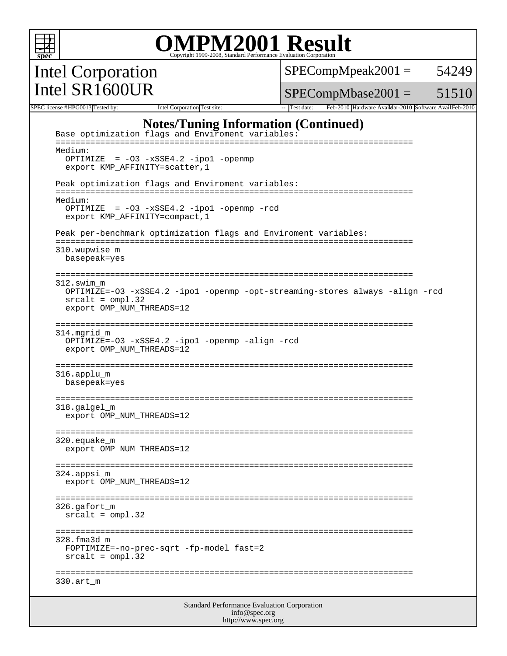

 FOPTIMIZE=-no-prec-sqrt -fp-model fast=2 srcalt = ompl.32

```
 ========================================================================
330.art_m
```
Standard Performance Evaluation Corporation info@spec.org http://www.spec.org